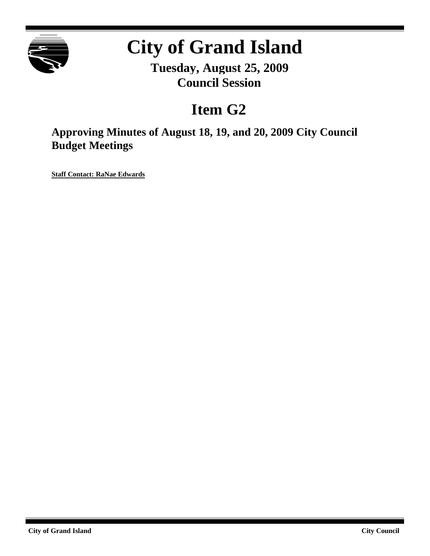

# **City of Grand Island**

**Tuesday, August 25, 2009 Council Session**

# **Item G2**

**Approving Minutes of August 18, 19, and 20, 2009 City Council Budget Meetings**

**Staff Contact: RaNae Edwards**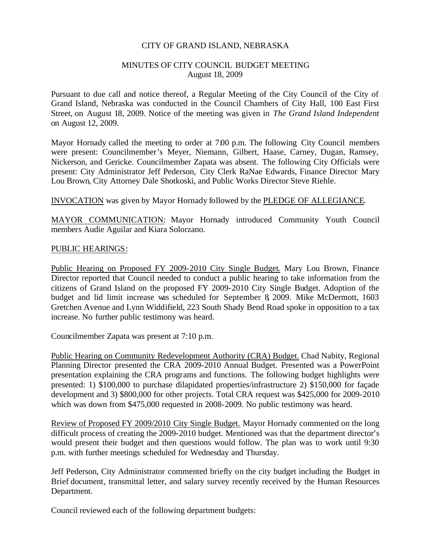#### CITY OF GRAND ISLAND, NEBRASKA

#### MINUTES OF CITY COUNCIL BUDGET MEETING August 18, 2009

Pursuant to due call and notice thereof, a Regular Meeting of the City Council of the City of Grand Island, Nebraska was conducted in the Council Chambers of City Hall, 100 East First Street, on August 18, 2009. Notice of the meeting was given in *The Grand Island Independent* on August 12, 2009.

Mayor Hornady called the meeting to order at 7:00 p.m. The following City Council members were present: Councilmember's Meyer, Niemann, Gilbert, Haase, Carney, Dugan, Ramsey, Nickerson, and Gericke. Councilmember Zapata was absent. The following City Officials were present: City Administrator Jeff Pederson, City Clerk RaNae Edwards, Finance Director Mary Lou Brown, City Attorney Dale Shotkoski, and Public Works Director Steve Riehle.

# INVOCATION was given by Mayor Hornady followed by the PLEDGE OF ALLEGIANCE.

MAYOR COMMUNICATION: Mayor Hornady introduced Community Youth Council members Audie Aguilar and Kiara Solorzano.

#### PUBLIC HEARINGS:

Public Hearing on Proposed FY 2009-2010 City Single Budget. Mary Lou Brown, Finance Director reported that Council needed to conduct a public hearing to take information from the citizens of Grand Island on the proposed FY 2009-2010 City Single Budget. Adoption of the budget and lid limit increase was scheduled for September 8, 2009. Mike McDermott, 1603 Gretchen Avenue and Lynn Widdifield, 223 South Shady Bend Road spoke in opposition to a tax increase. No further public testimony was heard.

Councilmember Zapata was present at 7:10 p.m.

Public Hearing on Community Redevelopment Authority (CRA) Budget. Chad Nabity, Regional Planning Director presented the CRA 2009-2010 Annual Budget. Presented was a PowerPoint presentation explaining the CRA programs and functions. The following budget highlights were presented: 1) \$100,000 to purchase dilapidated properties/infrastructure 2) \$150,000 for façade development and 3) \$800,000 for other projects. Total CRA request was \$425,000 for 2009-2010 which was down from \$475,000 requested in 2008-2009. No public testimony was heard.

Review of Proposed FY 2009/2010 City Single Budget. Mayor Hornady commented on the long difficult process of creating the 2009-2010 budget. Mentioned was that the department director's would present their budget and then questions would follow. The plan was to work until 9:30 p.m. with further meetings scheduled for Wednesday and Thursday.

Jeff Pederson, City Administrator commented briefly on the city budget including the Budget in Brief document, transmittal letter, and salary survey recently received by the Human Resources Department.

Council reviewed each of the following department budgets: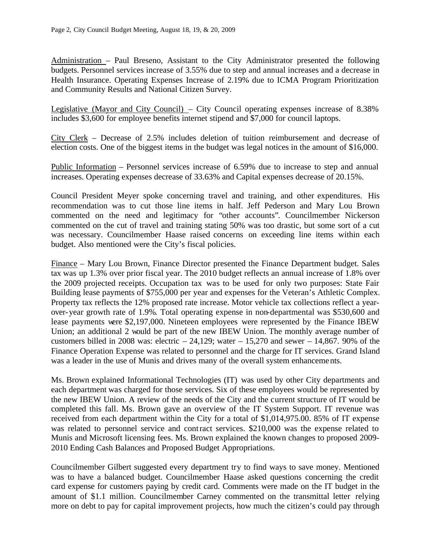Administration – Paul Breseno, Assistant to the City Administrator presented the following budgets. Personnel services increase of 3.55% due to step and annual increases and a decrease in Health Insurance. Operating Expenses Increase of 2.19% due to ICMA Program Prioritization and Community Results and National Citizen Survey.

Legislative (Mayor and City Council) – City Council operating expenses increase of 8.38% includes \$3,600 for employee benefits internet stipend and \$7,000 for council laptops.

City Clerk – Decrease of 2.5% includes deletion of tuition reimbursement and decrease of election costs. One of the biggest items in the budget was legal notices in the amount of \$16,000.

Public Information – Personnel services increase of 6.59% due to increase to step and annual increases. Operating expenses decrease of 33.63% and Capital expenses decrease of 20.15%.

Council President Meyer spoke concerning travel and training, and other expenditures. His recommendation was to cut those line items in half. Jeff Pederson and Mary Lou Brown commented on the need and legitimacy for "other accounts". Councilmember Nickerson commented on the cut of travel and training stating 50% was too drastic, but some sort of a cut was necessary. Councilmember Haase raised concerns on exceeding line items within each budget. Also mentioned were the City's fiscal policies.

Finance – Mary Lou Brown, Finance Director presented the Finance Department budget. Sales tax was up 1.3% over prior fiscal year. The 2010 budget reflects an annual increase of 1.8% over the 2009 projected receipts. Occupation tax was to be used for only two purposes: State Fair Building lease payments of \$755,000 per year and expenses for the Veteran's Athletic Complex. Property tax reflects the 12% proposed rate increase. Motor vehicle tax collections reflect a yearover-year growth rate of 1.9%. Total operating expense in non-departmental was \$530,600 and lease payments were \$2,197,000. Nineteen employees were represented by the Finance IBEW Union; an additional 2 would be part of the new IBEW Union. The monthly average number of customers billed in 2008 was: electric  $-24,129$ ; water  $-15,270$  and sewer  $-14,867$ . 90% of the Finance Operation Expense was related to personnel and the charge for IT services. Grand Island was a leader in the use of Munis and drives many of the overall system enhancements.

Ms. Brown explained Informational Technologies (IT) was used by other City departments and each department was charged for those services. Six of these employees would be represented by the new IBEW Union. A review of the needs of the City and the current structure of IT would be completed this fall. Ms. Brown gave an overview of the IT System Support. IT revenue was received from each department within the City for a total of \$1,014,975.00. 85% of IT expense was related to personnel service and contract services. \$210,000 was the expense related to Munis and Microsoft licensing fees. Ms. Brown explained the known changes to proposed 2009- 2010 Ending Cash Balances and Proposed Budget Appropriations.

Councilmember Gilbert suggested every department try to find ways to save money. Mentioned was to have a balanced budget. Councilmember Haase asked questions concerning the credit card expense for customers paying by credit card. Comments were made on the IT budget in the amount of \$1.1 million. Councilmember Carney commented on the transmittal letter relying more on debt to pay for capital improvement projects, how much the citizen's could pay through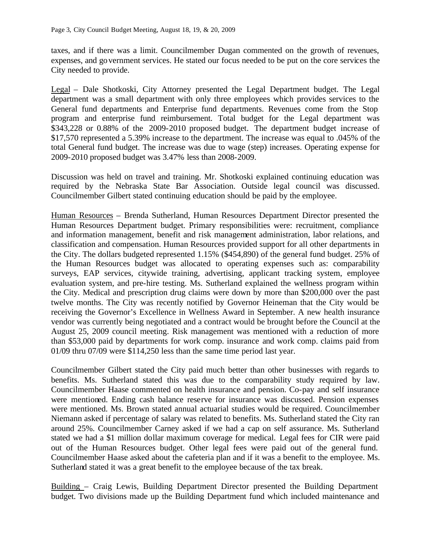taxes, and if there was a limit. Councilmember Dugan commented on the growth of revenues, expenses, and government services. He stated our focus needed to be put on the core services the City needed to provide.

Legal – Dale Shotkoski, City Attorney presented the Legal Department budget. The Legal department was a small department with only three employees which provides services to the General fund departments and Enterprise fund departments. Revenues come from the Stop program and enterprise fund reimbursement. Total budget for the Legal department was \$343,228 or 0.88% of the 2009-2010 proposed budget. The department budget increase of \$17,570 represented a 5.39% increase to the department. The increase was equal to .045% of the total General fund budget. The increase was due to wage (step) increases. Operating expense for 2009-2010 proposed budget was 3.47% less than 2008-2009.

Discussion was held on travel and training. Mr. Shotkoski explained continuing education was required by the Nebraska State Bar Association. Outside legal council was discussed. Councilmember Gilbert stated continuing education should be paid by the employee.

Human Resources – Brenda Sutherland, Human Resources Department Director presented the Human Resources Department budget. Primary responsibilities were: recruitment, compliance and information management, benefit and risk management administration, labor relations, and classification and compensation. Human Resources provided support for all other departments in the City. The dollars budgeted represented 1.15% (\$454,890) of the general fund budget. 25% of the Human Resources budget was allocated to operating expenses such as: comparability surveys, EAP services, citywide training, advertising, applicant tracking system, employee evaluation system, and pre-hire testing. Ms. Sutherland explained the wellness program within the City. Medical and prescription drug claims were down by more than \$200,000 over the past twelve months. The City was recently notified by Governor Heineman that the City would be receiving the Governor's Excellence in Wellness Award in September. A new health insurance vendor was currently being negotiated and a contract would be brought before the Council at the August 25, 2009 council meeting. Risk management was mentioned with a reduction of more than \$53,000 paid by departments for work comp. insurance and work comp. claims paid from 01/09 thru 07/09 were \$114,250 less than the same time period last year.

Councilmember Gilbert stated the City paid much better than other businesses with regards to benefits. Ms. Sutherland stated this was due to the comparability study required by law. Councilmember Haase commented on health insurance and pension. Co-pay and self insurance were mentioned. Ending cash balance reserve for insurance was discussed. Pension expenses were mentioned. Ms. Brown stated annual actuarial studies would be required. Councilmember Niemann asked if percentage of salary was related to benefits. Ms. Sutherland stated the City ran around 25%. Councilmember Carney asked if we had a cap on self assurance. Ms. Sutherland stated we had a \$1 million dollar maximum coverage for medical. Legal fees for CIR were paid out of the Human Resources budget. Other legal fees were paid out of the general fund. Councilmember Haase asked about the cafeteria plan and if it was a benefit to the employee. Ms. Sutherland stated it was a great benefit to the employee because of the tax break.

Building – Craig Lewis, Building Department Director presented the Building Department budget. Two divisions made up the Building Department fund which included maintenance and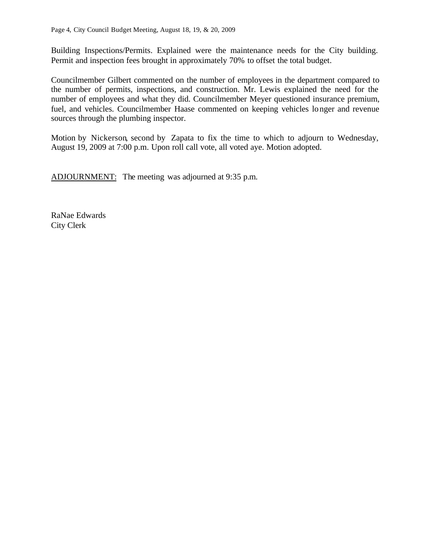Building Inspections/Permits. Explained were the maintenance needs for the City building. Permit and inspection fees brought in approximately 70% to offset the total budget.

Councilmember Gilbert commented on the number of employees in the department compared to the number of permits, inspections, and construction. Mr. Lewis explained the need for the number of employees and what they did. Councilmember Meyer questioned insurance premium, fuel, and vehicles. Councilmember Haase commented on keeping vehicles longer and revenue sources through the plumbing inspector.

Motion by Nickerson, second by Zapata to fix the time to which to adjourn to Wednesday, August 19, 2009 at 7:00 p.m. Upon roll call vote, all voted aye. Motion adopted.

ADJOURNMENT: The meeting was adjourned at 9:35 p.m.

RaNae Edwards City Clerk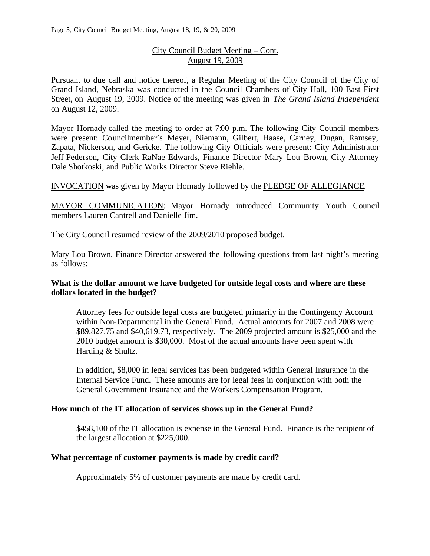# City Council Budget Meeting – Cont. August 19, 2009

Pursuant to due call and notice thereof, a Regular Meeting of the City Council of the City of Grand Island, Nebraska was conducted in the Council Chambers of City Hall, 100 East First Street, on August 19, 2009. Notice of the meeting was given in *The Grand Island Independent* on August 12, 2009.

Mayor Hornady called the meeting to order at 7:00 p.m. The following City Council members were present: Councilmember's Meyer, Niemann, Gilbert, Haase, Carney, Dugan, Ramsey, Zapata, Nickerson, and Gericke. The following City Officials were present: City Administrator Jeff Pederson, City Clerk RaNae Edwards, Finance Director Mary Lou Brown, City Attorney Dale Shotkoski, and Public Works Director Steve Riehle.

INVOCATION was given by Mayor Hornady followed by the PLEDGE OF ALLEGIANCE.

MAYOR COMMUNICATION: Mayor Hornady introduced Community Youth Council members Lauren Cantrell and Danielle Jim.

The City Counc il resumed review of the 2009/2010 proposed budget.

Mary Lou Brown, Finance Director answered the following questions from last night's meeting as follows:

# **What is the dollar amount we have budgeted for outside legal costs and where are these dollars located in the budget?**

Attorney fees for outside legal costs are budgeted primarily in the Contingency Account within Non-Departmental in the General Fund. Actual amounts for 2007 and 2008 were \$89,827.75 and \$40,619.73, respectively. The 2009 projected amount is \$25,000 and the 2010 budget amount is \$30,000. Most of the actual amounts have been spent with Harding & Shultz.

In addition, \$8,000 in legal services has been budgeted within General Insurance in the Internal Service Fund. These amounts are for legal fees in conjunction with both the General Government Insurance and the Workers Compensation Program.

# **How much of the IT allocation of services shows up in the General Fund?**

\$458,100 of the IT allocation is expense in the General Fund. Finance is the recipient of the largest allocation at \$225,000.

#### **What percentage of customer payments is made by credit card?**

Approximately 5% of customer payments are made by credit card.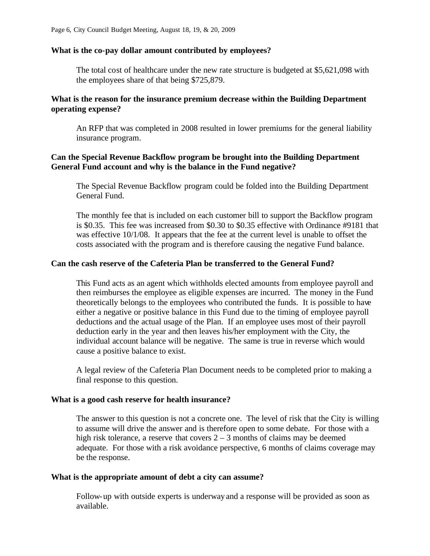#### **What is the co-pay dollar amount contributed by employees?**

The total cost of healthcare under the new rate structure is budgeted at \$5,621,098 with the employees share of that being \$725,879.

# **What is the reason for the insurance premium decrease within the Building Department operating expense?**

An RFP that was completed in 2008 resulted in lower premiums for the general liability insurance program.

#### **Can the Special Revenue Backflow program be brought into the Building Department General Fund account and why is the balance in the Fund negative?**

The Special Revenue Backflow program could be folded into the Building Department General Fund.

The monthly fee that is included on each customer bill to support the Backflow program is \$0.35. This fee was increased from \$0.30 to \$0.35 effective with Ordinance #9181 that was effective 10/1/08. It appears that the fee at the current level is unable to offset the costs associated with the program and is therefore causing the negative Fund balance.

# **Can the cash reserve of the Cafeteria Plan be transferred to the General Fund?**

This Fund acts as an agent which withholds elected amounts from employee payroll and then reimburses the employee as eligible expenses are incurred. The money in the Fund theoretically belongs to the employees who contributed the funds. It is possible to have either a negative or positive balance in this Fund due to the timing of employee payroll deductions and the actual usage of the Plan. If an employee uses most of their payroll deduction early in the year and then leaves his/her employment with the City, the individual account balance will be negative. The same is true in reverse which would cause a positive balance to exist.

A legal review of the Cafeteria Plan Document needs to be completed prior to making a final response to this question.

#### **What is a good cash reserve for health insurance?**

The answer to this question is not a concrete one. The level of risk that the City is willing to assume will drive the answer and is therefore open to some debate. For those with a high risk tolerance, a reserve that covers  $2 - 3$  months of claims may be deemed adequate. For those with a risk avoidance perspective, 6 months of claims coverage may be the response.

#### **What is the appropriate amount of debt a city can assume?**

Follow-up with outside experts is underway and a response will be provided as soon as available.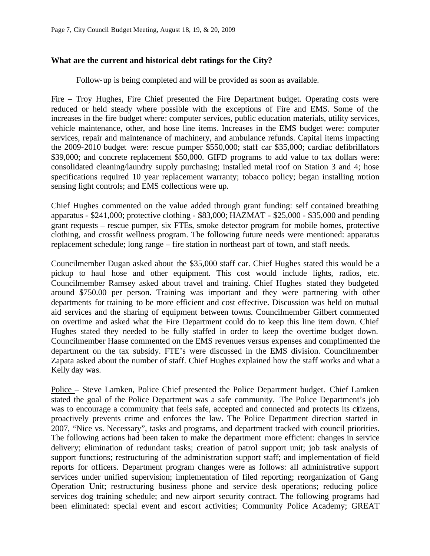#### **What are the current and historical debt ratings for the City?**

Follow-up is being completed and will be provided as soon as available.

Fire – Troy Hughes, Fire Chief presented the Fire Department budget. Operating costs were reduced or held steady where possible with the exceptions of Fire and EMS. Some of the increases in the fire budget where: computer services, public education materials, utility services, vehicle maintenance, other, and hose line items. Increases in the EMS budget were: computer services, repair and maintenance of machinery, and ambulance refunds. Capital items impacting the 2009-2010 budget were: rescue pumper \$550,000; staff car \$35,000; cardiac defibrillators \$39,000; and concrete replacement \$50,000. GIFD programs to add value to tax dollars were: consolidated cleaning/laundry supply purchasing; installed metal roof on Station 3 and 4; hose specifications required 10 year replacement warranty; tobacco policy; began installing motion sensing light controls; and EMS collections were up.

Chief Hughes commented on the value added through grant funding: self contained breathing apparatus - \$241,000; protective clothing - \$83,000; HAZMAT - \$25,000 - \$35,000 and pending grant requests – rescue pumper, six FTEs, smoke detector program for mobile homes, protective clothing, and crossfit wellness program. The following future needs were mentioned: apparatus replacement schedule; long range – fire station in northeast part of town, and staff needs.

Councilmember Dugan asked about the \$35,000 staff car. Chief Hughes stated this would be a pickup to haul hose and other equipment. This cost would include lights, radios, etc. Councilmember Ramsey asked about travel and training. Chief Hughes stated they budgeted around \$750.00 per person. Training was important and they were partnering with other departments for training to be more efficient and cost effective. Discussion was held on mutual aid services and the sharing of equipment between towns. Councilmember Gilbert commented on overtime and asked what the Fire Department could do to keep this line item down. Chief Hughes stated they needed to be fully staffed in order to keep the overtime budget down. Councilmember Haase commented on the EMS revenues versus expenses and complimented the department on the tax subsidy. FTE's were discussed in the EMS division. Councilmember Zapata asked about the number of staff. Chief Hughes explained how the staff works and what a Kelly day was.

Police – Steve Lamken, Police Chief presented the Police Department budget. Chief Lamken stated the goal of the Police Department was a safe community. The Police Department's job was to encourage a community that feels safe, accepted and connected and protects its citizens, proactively prevents crime and enforces the law. The Police Department direction started in 2007, "Nice vs. Necessary", tasks and programs, and department tracked with council priorities. The following actions had been taken to make the department more efficient: changes in service delivery; elimination of redundant tasks; creation of patrol support unit; job task analysis of support functions; restructuring of the administration support staff; and implementation of field reports for officers. Department program changes were as follows: all administrative support services under unified supervision; implementation of filed reporting; reorganization of Gang Operation Unit; restructuring business phone and service desk operations; reducing police services dog training schedule; and new airport security contract. The following programs had been eliminated: special event and escort activities; Community Police Academy; GREAT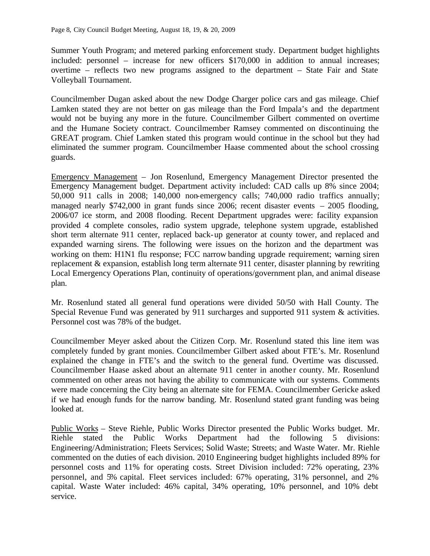Summer Youth Program; and metered parking enforcement study. Department budget highlights included: personnel – increase for new officers \$170,000 in addition to annual increases; overtime – reflects two new programs assigned to the department – State Fair and State Volleyball Tournament.

Councilmember Dugan asked about the new Dodge Charger police cars and gas mileage. Chief Lamken stated they are not better on gas mileage than the Ford Impala's and the department would not be buying any more in the future. Councilmember Gilbert commented on overtime and the Humane Society contract. Councilmember Ramsey commented on discontinuing the GREAT program. Chief Lamken stated this program would continue in the school but they had eliminated the summer program. Councilmember Haase commented about the school crossing guards.

Emergency Management – Jon Rosenlund, Emergency Management Director presented the Emergency Management budget. Department activity included: CAD calls up 8% since 2004; 50,000 911 calls in 2008; 140,000 non-emergency calls; 740,000 radio traffics annually; managed nearly \$742,000 in grant funds since 2006; recent disaster events – 2005 flooding, 2006/07 ice storm, and 2008 flooding. Recent Department upgrades were: facility expansion provided 4 complete consoles, radio system upgrade, telephone system upgrade, established short term alternate 911 center, replaced back-up generator at county tower, and replaced and expanded warning sirens. The following were issues on the horizon and the department was working on them: H1N1 flu response; FCC narrow banding upgrade requirement; warning siren replacement & expansion, establish long term alternate 911 center, disaster planning by rewriting Local Emergency Operations Plan, continuity of operations/government plan, and animal disease plan.

Mr. Rosenlund stated all general fund operations were divided 50/50 with Hall County. The Special Revenue Fund was generated by 911 surcharges and supported 911 system & activities. Personnel cost was 78% of the budget.

Councilmember Meyer asked about the Citizen Corp. Mr. Rosenlund stated this line item was completely funded by grant monies. Councilmember Gilbert asked about FTE's. Mr. Rosenlund explained the change in FTE's and the switch to the general fund. Overtime was discussed. Councilmember Haase asked about an alternate 911 center in another county. Mr. Rosenlund commented on other areas not having the ability to communicate with our systems. Comments were made concerning the City being an alternate site for FEMA. Councilmember Gericke asked if we had enough funds for the narrow banding. Mr. Rosenlund stated grant funding was being looked at.

Public Works – Steve Riehle, Public Works Director presented the Public Works budget. Mr. Riehle stated the Public Works Department had the following 5 divisions: Engineering/Administration; Fleets Services; Solid Waste; Streets; and Waste Water. Mr. Riehle commented on the duties of each division. 2010 Engineering budget highlights included 89% for personnel costs and 11% for operating costs. Street Division included: 72% operating, 23% personnel, and 5% capital. Fleet services included: 67% operating, 31% personnel, and 2% capital. Waste Water included: 46% capital, 34% operating, 10% personnel, and 10% debt service.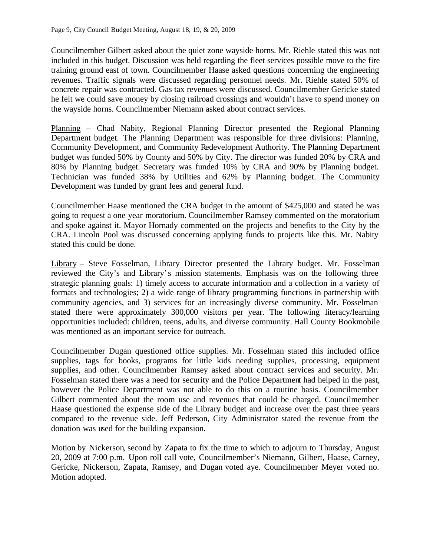Councilmember Gilbert asked about the quiet zone wayside horns. Mr. Riehle stated this was not included in this budget. Discussion was held regarding the fleet services possible move to the fire training ground east of town. Councilmember Haase asked questions concerning the engineering revenues. Traffic signals were discussed regarding personnel needs. Mr. Riehle stated 50% of concrete repair was contracted. Gas tax revenues were discussed. Councilmember Gericke stated he felt we could save money by closing railroad crossings and wouldn't have to spend money on the wayside horns. Councilmember Niemann asked about contract services.

Planning – Chad Nabity, Regional Planning Director presented the Regional Planning Department budget. The Planning Department was responsible for three divisions: Planning, Community Development, and Community Redevelopment Authority. The Planning Department budget was funded 50% by County and 50% by City. The director was funded 20% by CRA and 80% by Planning budget. Secretary was funded 10% by CRA and 90% by Planning budget. Technician was funded 38% by Utilities and 62% by Planning budget. The Community Development was funded by grant fees and general fund.

Councilmember Haase mentioned the CRA budget in the amount of \$425,000 and stated he was going to request a one year moratorium. Councilmember Ramsey commented on the moratorium and spoke against it. Mayor Hornady commented on the projects and benefits to the City by the CRA. Lincoln Pool was discussed concerning applying funds to projects like this. Mr. Nabity stated this could be done.

Library – Steve Fosselman, Library Director presented the Library budget. Mr. Fosselman reviewed the City's and Library's mission statements. Emphasis was on the following three strategic planning goals: 1) timely access to accurate information and a collection in a variety of formats and technologies; 2) a wide range of library programming functions in partnership with community agencies, and 3) services for an increasingly diverse community. Mr. Fosselman stated there were approximately 300,000 visitors per year. The following literacy/learning opportunities included: children, teens, adults, and diverse community. Hall County Bookmobile was mentioned as an important service for outreach.

Councilmember Dugan questioned office supplies. Mr. Fosselman stated this included office supplies, tags for books, programs for little kids needing supplies, processing, equipment supplies, and other. Councilmember Ramsey asked about contract services and security. Mr. Fosselman stated there was a need for security and the Police Department had helped in the past, however the Police Department was not able to do this on a routine basis. Councilmember Gilbert commented about the room use and revenues that could be charged. Councilmember Haase questioned the expense side of the Library budget and increase over the past three years compared to the revenue side. Jeff Pederson, City Administrator stated the revenue from the donation was used for the building expansion.

Motion by Nickerson, second by Zapata to fix the time to which to adjourn to Thursday, August 20, 2009 at 7:00 p.m. Upon roll call vote, Councilmember's Niemann, Gilbert, Haase, Carney, Gericke, Nickerson, Zapata, Ramsey, and Dugan voted aye. Councilmember Meyer voted no. Motion adopted.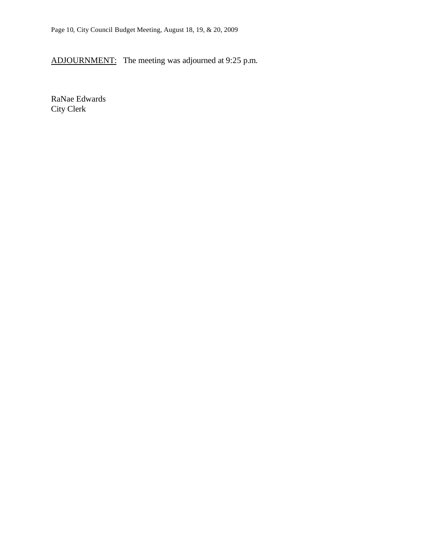ADJOURNMENT: The meeting was adjourned at 9:25 p.m.

RaNae Edwards City Clerk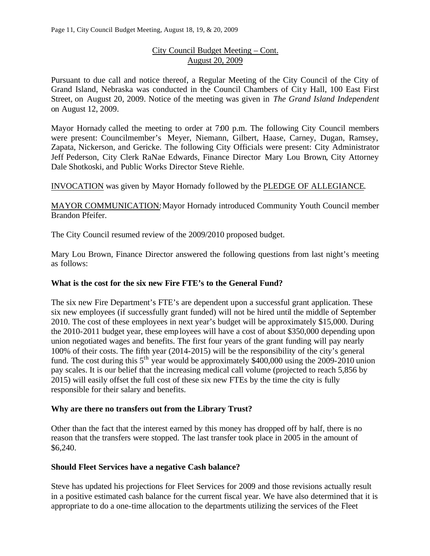# City Council Budget Meeting – Cont. August 20, 2009

Pursuant to due call and notice thereof, a Regular Meeting of the City Council of the City of Grand Island, Nebraska was conducted in the Council Chambers of City Hall, 100 East First Street, on August 20, 2009. Notice of the meeting was given in *The Grand Island Independent* on August 12, 2009.

Mayor Hornady called the meeting to order at 7:00 p.m. The following City Council members were present: Councilmember's Meyer, Niemann, Gilbert, Haase, Carney, Dugan, Ramsey, Zapata, Nickerson, and Gericke. The following City Officials were present: City Administrator Jeff Pederson, City Clerk RaNae Edwards, Finance Director Mary Lou Brown, City Attorney Dale Shotkoski, and Public Works Director Steve Riehle.

INVOCATION was given by Mayor Hornady followed by the PLEDGE OF ALLEGIANCE.

MAYOR COMMUNICATION: Mayor Hornady introduced Community Youth Council member Brandon Pfeifer.

The City Council resumed review of the 2009/2010 proposed budget.

Mary Lou Brown, Finance Director answered the following questions from last night's meeting as follows:

#### **What is the cost for the six new Fire FTE's to the General Fund?**

The six new Fire Department's FTE's are dependent upon a successful grant application. These six new employees (if successfully grant funded) will not be hired until the middle of September 2010. The cost of these employees in next year's budget will be approximately \$15,000. During the 2010-2011 budget year, these employees will have a cost of about \$350,000 depending upon union negotiated wages and benefits. The first four years of the grant funding will pay nearly 100% of their costs. The fifth year (2014-2015) will be the responsibility of the city's general fund. The cost during this  $5<sup>th</sup>$  year would be approximately \$400,000 using the 2009-2010 union pay scales. It is our belief that the increasing medical call volume (projected to reach 5,856 by 2015) will easily offset the full cost of these six new FTEs by the time the city is fully responsible for their salary and benefits.

#### **Why are there no transfers out from the Library Trust?**

Other than the fact that the interest earned by this money has dropped off by half, there is no reason that the transfers were stopped. The last transfer took place in 2005 in the amount of \$6,240.

#### **Should Fleet Services have a negative Cash balance?**

Steve has updated his projections for Fleet Services for 2009 and those revisions actually result in a positive estimated cash balance for the current fiscal year. We have also determined that it is appropriate to do a one-time allocation to the departments utilizing the services of the Fleet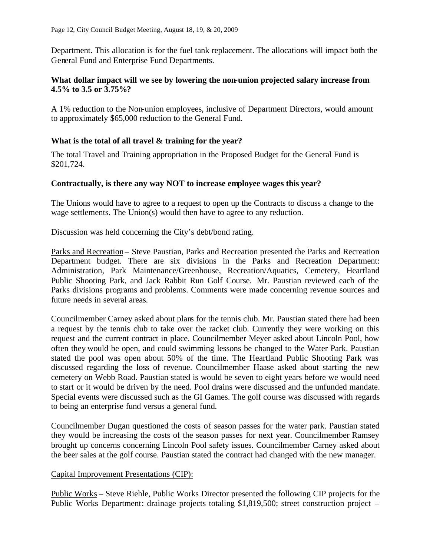Department. This allocation is for the fuel tank replacement. The allocations will impact both the General Fund and Enterprise Fund Departments.

#### **What dollar impact will we see by lowering the non-union projected salary increase from 4.5% to 3.5 or 3.75%?**

A 1% reduction to the Non-union employees, inclusive of Department Directors, would amount to approximately \$65,000 reduction to the General Fund.

# **What is the total of all travel & training for the year?**

The total Travel and Training appropriation in the Proposed Budget for the General Fund is \$201,724.

# **Contractually, is there any way NOT to increase employee wages this year?**

The Unions would have to agree to a request to open up the Contracts to discuss a change to the wage settlements. The Union(s) would then have to agree to any reduction.

Discussion was held concerning the City's debt/bond rating.

Parks and Recreation – Steve Paustian, Parks and Recreation presented the Parks and Recreation Department budget. There are six divisions in the Parks and Recreation Department: Administration, Park Maintenance/Greenhouse, Recreation/Aquatics, Cemetery, Heartland Public Shooting Park, and Jack Rabbit Run Golf Course. Mr. Paustian reviewed each of the Parks divisions programs and problems. Comments were made concerning revenue sources and future needs in several areas.

Councilmember Carney asked about plans for the tennis club. Mr. Paustian stated there had been a request by the tennis club to take over the racket club. Currently they were working on this request and the current contract in place. Councilmember Meyer asked about Lincoln Pool, how often they would be open, and could swimming lessons be changed to the Water Park. Paustian stated the pool was open about 50% of the time. The Heartland Public Shooting Park was discussed regarding the loss of revenue. Councilmember Haase asked about starting the new cemetery on Webb Road. Paustian stated is would be seven to eight years before we would need to start or it would be driven by the need. Pool drains were discussed and the unfunded mandate. Special events were discussed such as the GI Games. The golf course was discussed with regards to being an enterprise fund versus a general fund.

Councilmember Dugan questioned the costs of season passes for the water park. Paustian stated they would be increasing the costs of the season passes for next year. Councilmember Ramsey brought up concerns concerning Lincoln Pool safety issues. Councilmember Carney asked about the beer sales at the golf course. Paustian stated the contract had changed with the new manager.

#### Capital Improvement Presentations (CIP):

Public Works – Steve Riehle, Public Works Director presented the following CIP projects for the Public Works Department: drainage projects totaling \$1,819,500; street construction project –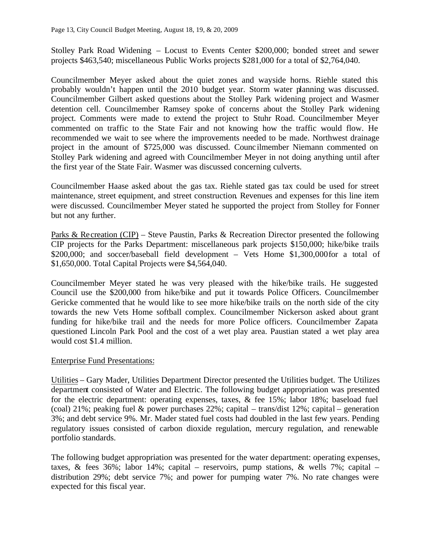Stolley Park Road Widening – Locust to Events Center \$200,000; bonded street and sewer projects \$463,540; miscellaneous Public Works projects \$281,000 for a total of \$2,764,040.

Councilmember Meyer asked about the quiet zones and wayside horns. Riehle stated this probably wouldn't happen until the 2010 budget year. Storm water planning was discussed. Councilmember Gilbert asked questions about the Stolley Park widening project and Wasmer detention cell. Councilmember Ramsey spoke of concerns about the Stolley Park widening project. Comments were made to extend the project to Stuhr Road. Councilmember Meyer commented on traffic to the State Fair and not knowing how the traffic would flow. He recommended we wait to see where the improvements needed to be made. Northwest drainage project in the amount of \$725,000 was discussed. Counc ilmember Niemann commented on Stolley Park widening and agreed with Councilmember Meyer in not doing anything until after the first year of the State Fair. Wasmer was discussed concerning culverts.

Councilmember Haase asked about the gas tax. Riehle stated gas tax could be used for street maintenance, street equipment, and street construction. Revenues and expenses for this line item were discussed. Councilmember Meyer stated he supported the project from Stolley for Fonner but not any further.

Parks & Recreation (CIP) – Steve Paustin, Parks & Recreation Director presented the following CIP projects for the Parks Department: miscellaneous park projects \$150,000; hike/bike trails \$200,000; and soccer/baseball field development – Vets Home \$1,300,000for a total of \$1,650,000. Total Capital Projects were \$4,564,040.

Councilmember Meyer stated he was very pleased with the hike/bike trails. He suggested Council use the \$200,000 from hike/bike and put it towards Police Officers. Councilmember Gericke commented that he would like to see more hike/bike trails on the north side of the city towards the new Vets Home softball complex. Councilmember Nickerson asked about grant funding for hike/bike trail and the needs for more Police officers. Councilmember Zapata questioned Lincoln Park Pool and the cost of a wet play area. Paustian stated a wet play area would cost \$1.4 million.

#### Enterprise Fund Presentations:

Utilities – Gary Mader, Utilities Department Director presented the Utilities budget. The Utilizes department consisted of Water and Electric. The following budget appropriation was presented for the electric department: operating expenses, taxes, & fee 15%; labor 18%; baseload fuel (coal) 21%; peaking fuel & power purchases  $22\%$ ; capital – trans/dist 12%; capital – generation 3%; and debt service 9%. Mr. Mader stated fuel costs had doubled in the last few years. Pending regulatory issues consisted of carbon dioxide regulation, mercury regulation, and renewable portfolio standards.

The following budget appropriation was presented for the water department: operating expenses, taxes, & fees 36%; labor 14%; capital – reservoirs, pump stations, & wells 7%; capital – distribution 29%; debt service 7%; and power for pumping water 7%. No rate changes were expected for this fiscal year.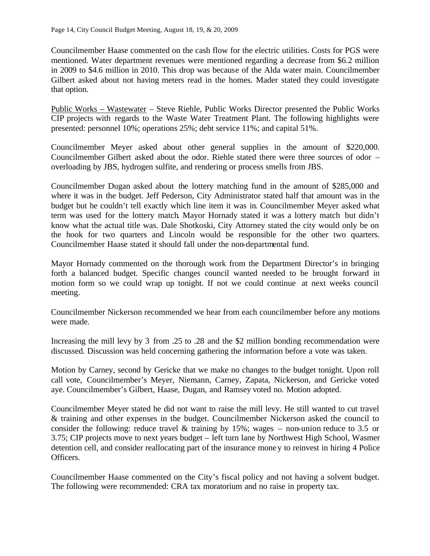Councilmember Haase commented on the cash flow for the electric utilities. Costs for PGS were mentioned. Water department revenues were mentioned regarding a decrease from \$6.2 million in 2009 to \$4.6 million in 2010. This drop was because of the Alda water main. Councilmember Gilbert asked about not having meters read in the homes. Mader stated they could investigate that option.

Public Works – Wastewater – Steve Riehle, Public Works Director presented the Public Works CIP projects with regards to the Waste Water Treatment Plant. The following highlights were presented: personnel 10%; operations 25%; debt service 11%; and capital 51%.

Councilmember Meyer asked about other general supplies in the amount of \$220,000. Councilmember Gilbert asked about the odor. Riehle stated there were three sources of odor – overloading by JBS, hydrogen sulfite, and rendering or process smells from JBS.

Councilmember Dugan asked about the lottery matching fund in the amount of \$285,000 and where it was in the budget. Jeff Pederson, City Administrator stated half that amount was in the budget but he couldn't tell exactly which line item it was in. Councilmember Meyer asked what term was used for the lottery match. Mayor Hornady stated it was a lottery match but didn't know what the actual title was. Dale Shotkoski, City Attorney stated the city would only be on the hook for two quarters and Lincoln would be responsible for the other two quarters. Councilmember Haase stated it should fall under the non-departmental fund.

Mayor Hornady commented on the thorough work from the Department Director's in bringing forth a balanced budget. Specific changes council wanted needed to be brought forward in motion form so we could wrap up tonight. If not we could continue at next weeks council meeting.

Councilmember Nickerson recommended we hear from each councilmember before any motions were made.

Increasing the mill levy by 3 from .25 to .28 and the \$2 million bonding recommendation were discussed. Discussion was held concerning gathering the information before a vote was taken.

Motion by Carney, second by Gericke that we make no changes to the budget tonight. Upon roll call vote, Councilmember's Meyer, Niemann, Carney, Zapata, Nickerson, and Gericke voted aye. Councilmember's Gilbert, Haase, Dugan, and Ramsey voted no. Motion adopted.

Councilmember Meyer stated he did not want to raise the mill levy. He still wanted to cut travel & training and other expenses in the budget. Councilmember Nickerson asked the council to consider the following: reduce travel & training by 15%; wages – non-union reduce to 3.5 or 3.75; CIP projects move to next years budget – left turn lane by Northwest High School, Wasmer detention cell, and consider reallocating part of the insurance money to reinvest in hiring 4 Police Officers.

Councilmember Haase commented on the City's fiscal policy and not having a solvent budget. The following were recommended: CRA tax moratorium and no raise in property tax.